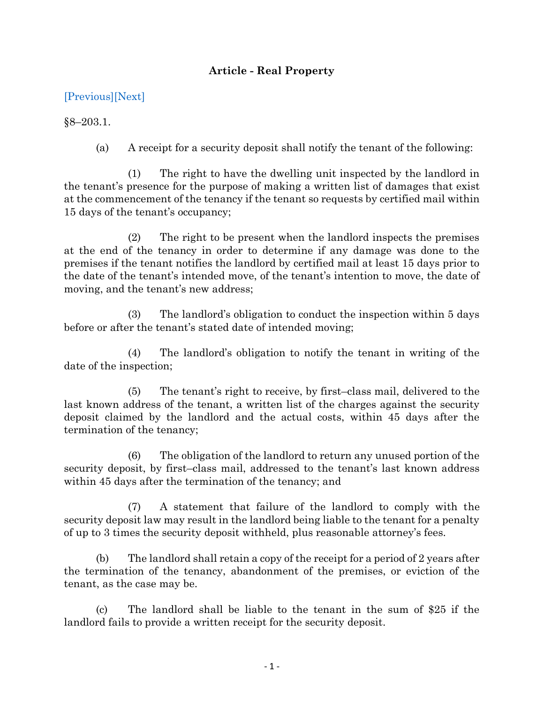## **Article - Real Property**

## [\[Previous\]](http://mgaleg.maryland.gov/2021RS/Statute_Web/grp/8-203.pdf)[\[Next\]](http://mgaleg.maryland.gov/2021RS/Statute_Web/grp/8-204.pdf)

§8–203.1.

(a) A receipt for a security deposit shall notify the tenant of the following:

(1) The right to have the dwelling unit inspected by the landlord in the tenant's presence for the purpose of making a written list of damages that exist at the commencement of the tenancy if the tenant so requests by certified mail within 15 days of the tenant's occupancy;

(2) The right to be present when the landlord inspects the premises at the end of the tenancy in order to determine if any damage was done to the premises if the tenant notifies the landlord by certified mail at least 15 days prior to the date of the tenant's intended move, of the tenant's intention to move, the date of moving, and the tenant's new address;

(3) The landlord's obligation to conduct the inspection within 5 days before or after the tenant's stated date of intended moving;

(4) The landlord's obligation to notify the tenant in writing of the date of the inspection;

(5) The tenant's right to receive, by first–class mail, delivered to the last known address of the tenant, a written list of the charges against the security deposit claimed by the landlord and the actual costs, within 45 days after the termination of the tenancy;

(6) The obligation of the landlord to return any unused portion of the security deposit, by first–class mail, addressed to the tenant's last known address within 45 days after the termination of the tenancy; and

(7) A statement that failure of the landlord to comply with the security deposit law may result in the landlord being liable to the tenant for a penalty of up to 3 times the security deposit withheld, plus reasonable attorney's fees.

(b) The landlord shall retain a copy of the receipt for a period of 2 years after the termination of the tenancy, abandonment of the premises, or eviction of the tenant, as the case may be.

(c) The landlord shall be liable to the tenant in the sum of \$25 if the landlord fails to provide a written receipt for the security deposit.